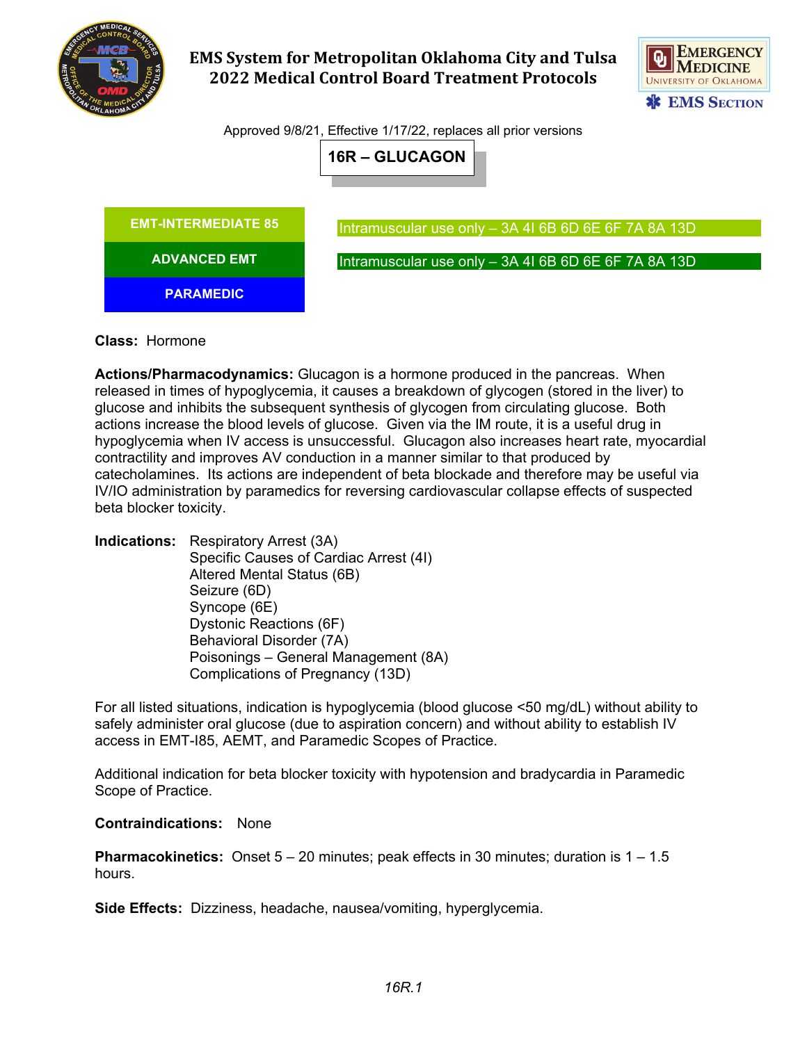

# **EMS System for Metropolitan Oklahoma City and Tulsa 2022 Medical Control Board Treatment Protocols**



Approved 9/8/21, Effective 1/17/22, replaces all prior versions





### **Class:** Hormone

**Actions/Pharmacodynamics:** Glucagon is a hormone produced in the pancreas. When released in times of hypoglycemia, it causes a breakdown of glycogen (stored in the liver) to glucose and inhibits the subsequent synthesis of glycogen from circulating glucose. Both actions increase the blood levels of glucose. Given via the IM route, it is a useful drug in hypoglycemia when IV access is unsuccessful. Glucagon also increases heart rate, myocardial contractility and improves AV conduction in a manner similar to that produced by catecholamines. Its actions are independent of beta blockade and therefore may be useful via IV/IO administration by paramedics for reversing cardiovascular collapse effects of suspected beta blocker toxicity.

**Indications:** Respiratory Arrest (3A) Specific Causes of Cardiac Arrest (4I) Altered Mental Status (6B) Seizure (6D) Syncope (6E) Dystonic Reactions (6F) Behavioral Disorder (7A) Poisonings – General Management (8A) Complications of Pregnancy (13D)

For all listed situations, indication is hypoglycemia (blood glucose <50 mg/dL) without ability to safely administer oral glucose (due to aspiration concern) and without ability to establish IV access in EMT-I85, AEMT, and Paramedic Scopes of Practice.

Additional indication for beta blocker toxicity with hypotension and bradycardia in Paramedic Scope of Practice.

#### **Contraindications:** None

**Pharmacokinetics:** Onset 5 – 20 minutes; peak effects in 30 minutes; duration is 1 – 1.5 hours.

**Side Effects:** Dizziness, headache, nausea/vomiting, hyperglycemia.